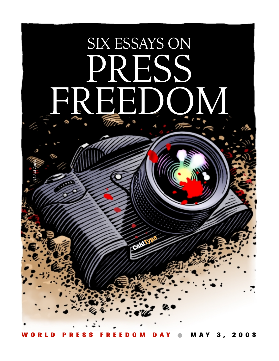

**MAY 3, 2003**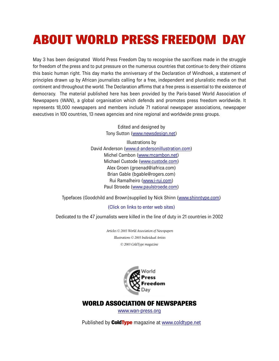# ABOUT WORLD PRESS FREEDOM DAY

May 3 has been designated World Press Freedom Day to recognise the sacrifices made in the struggle for freedom of the press and to put pressure on the numerous countries that continue to deny their citizens this basic human right. This day marks the anniversary of the Declaration of Windhoek, a statement of principles drawn up by African journalists calling for a free, independent and pluralistic media on that continent and throughout the world. The Declaration affirms that a free press is essential to the existence of democracy. The material published here has been provided by the Paris-based World Association of Newspapers (WAN), a global organisation which defends and promotes press freedom worldwide. It represents 18,000 newspapers and members include 71 national newspaper associations, newspaper executives in 100 countries, 13 news agencies and nine regional and worldwide press groups.

> Edited and designed by [Tony Sutton \(www.newsdesign.net\)](http://www.newsdesign.net)

Illustrations by [David Anderson \(www.d-andersonillustration.com\)](http://www.d-andersonillustration.com) [Michel Cambon \(www.mcambon.net\)](http://www.mcambon.net) [Michael Custode \(www.custode.com\)](http://custode.com) Alex Groen (groenad@iafrica.com) Brian Gable (bgable@rogers.com) [Rui Ramalheiro \(www.i-rui.com\)](http://www.i-rui.com) [Paul Stroede \(www.paulstroede.com\)](http://www.paulstroede.com)

[Typefaces \(Goodchild and Brown\)supplied by Nick Shinn \(www.shinntype.com\)](http://www.shinntype.com)

(Click on links to enter web sites)

Dedicated to the 47 journalists were killed in the line of duty in 21 countries in 2002

*Articles © 2003 World Association of Newspapers Illustrations © 2003 Individual Artists © 2003 ColdType magazine*



# WORLD ASSOCIATION OF NEWSPAPERS

[www.wan-press.org](http://www.wan-press.org)

Published by **ColdType** [magazine at www.coldtype.net](http://www.coldtype.net)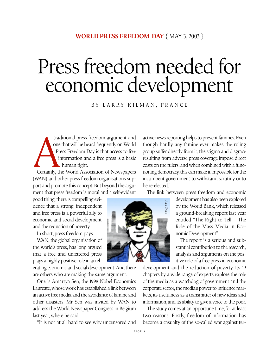# Press freedom needed for economic development

BY LARRY KILMAN, FRANCE

traditional press freedom argument and one that will be heard frequently on World Press Freedom Day is that access to free information and a free press is a basic human right.

Certainly, the World Association of Newspapers (WAN) and other press freedom organisations support and promote this concept. But beyond the argument that press freedom is moral and a self-evident

good thing, there is compelling evidence that a strong, independent and free press is a powerful ally to economic and social development and the reduction of poverty.

In short, press freedom pays.

WAN, the global organisation of the world's press, has long argued that a free and unfettered press plays a highly positive role in accel-

erating economic and social development.And there are others who are making the same argument.

One is Amartya Sen, the 1998 Nobel Economics Laureate,whose work has established a link between an active free media and the avoidance of famine and other disasters. Mr Sen was invited by WAN to address the World Newspaper Congress in Belgium last year, where he said:

"It is not at all hard to see why uncensored and

active news reporting helps to prevent famines.Even though hardly any famine ever makes the ruling group suffer directly from it, the stigma and disgrace resulting from adverse press coverage impose direct costs on the rulers, and when combined with a functioning democracy,this can make it impossible for the incumbent government to withstand scrutiny or to be re-elected."

The link between press freedom and economic

development has also been explored by the World Bank, which released a ground-breaking report last year entitled "The Right to Tell – The Role of the Mass Media in Economic Development".

The report is a serious and substantial contribution to the research, analysis and arguments on the positive role of a free press in economic

development and the reduction of poverty. Its 19 chapters by a wide range of experts explore the role of the media as a watchdog of government and the corporate sector, the media's power to influence markets, its usefulness as a transmitter of new ideas and information,and its ability to give a voice to the poor.

The study comes at an opportune time, for at least two reasons. Firstly, freedom of information has become a casualty of the so-called war against ter-

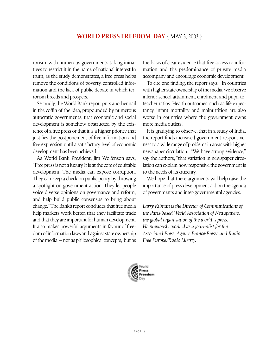rorism, with numerous governments taking initiatives to restrict it in the name of national interest In truth, as the study demonstrates, a free press helps remove the conditions of poverty, controlled information and the lack of public debate in which terrorism breeds and prospers.

Secondly, the World Bank report puts another nail in the coffin of the idea, propounded by numerous autocratic governments, that economic and social development is somehow obstructed by the existence of a free press or that it is a higher priority that justifies the postponement of free information and free expression until a satisfactory level of economic development has been achieved.

As World Bank President, Jim Wolfenson says, "Free press is not a luxury.It is at the core of equitable development. The media can expose corruption. They can keep a check on public policy by throwing a spotlight on government action. They let people voice diverse opinions on governance and reform, and help build public consensus to bring about change." The Bank's report concludes that free media help markets work better, that they facilitate trade and that they are important for human development. It also makes powerful arguments in favour of freedom of information laws and against state ownership of the media – not as philosophical concepts, but as

the basis of clear evidence that free access to information and the predominance of private media accompany and encourage economic development.

To cite one finding, the report says: "In countries with higher state ownership of the media, we observe inferior school attainment, enrolment and pupil-toteacher ratios. Health outcomes, such as life expectancy, infant mortality and malnutrition are also worse in countries where the government owns more media outlets."

It is gratifying to observe, that in a study of India, the report finds increased government responsiveness to a wide range of problems in areas with higher newspaper circulation. "We have strong evidence," say the authors, "that variation in newspaper circulation can explain how responsive the government is to the needs of its citizenry."

We hope that these arguments will help raise the importance of press development aid on the agenda of governments and inter-governmental agencies.

*Larry Kilman is the Director of Communications of the Paris-based World Association of Newspapers, the global organisation of the world' s press. He previously worked as a journalist for the Associated Press, Agence France-Presse and Radio Free Europe/Radio Liberty.* 

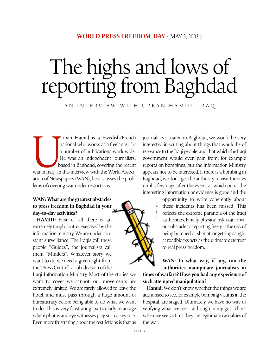# The highs and lows of reporting from Baghdad

## AN INTERVIEW WITH URBAN HAMID, IRAQ

rban Hamid is a Swedish/French national who works as a freelancer for a number of publications worldwide. He was an independent journalists, based in Baghdad, covering the recent war in Iraq. In this interview with the World Association of Newspapers (WAN), he discusses the problems of covering war under restrictions.

# **WAN: What are the greatest obstacles to press freedom in Baghdad in your day-to-day activities?**

**HAMID:** First of all there is an extremely tough control exercised by the information ministry.We are under constant surveillance. The Iraqis call these people "Guides", the journalists call them "Minders". Whatever story we want to do we need a green light from the "Press Centre", a sub-division of the

Iraqi Information Ministry. Most of the stories we want to cover we cannot, our movements are extremely limited. We are rarely allowed to leave the hotel, and must pass through a huge amount of bureaucracy before being able to do what we want to do. This is very frustrating, particularly in an age where photos and eye witnesses play such a key role. Even more frustrating about the restrictions is that as journalists situated in Baghdad, we would be very interested in writing about things that would be of relevance to the Iraqi people,and that which the Iraqi government would even gain from, for example reports on bombings, but the Information Ministry appears not to be interested. If there is a bombing in Baghdad, we don't get the authority to visit the sites until a few days after the event, at which point the interesting information or evidence is gone and the

> opportunity to write coherently about these incidents has been missed. This reflects the extreme paranoia of the Iraqi authorities.Finally,physical risk is an obvious obstacle to reporting freely – the risk of being bombed or shot at,or getting caught at roadblocks acts as the ultimate deterrent to real press freedom.

**WAN: In what way, if any, can the authorities manipulate journalists in times of warfare? Have you had any experience of such attempted manipulation?** 

**Hamid:** We don't know whether the things we are authorised to see,for example bombing victims in the hospital, are staged. Ultimately we have no way of verifying what we see – although in my gut I think when we see victims they are legitimate casualties of the war.

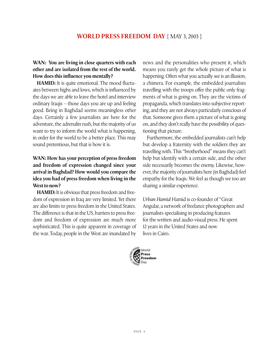# **WAN: You are living in close quarters with each other and are isolated from the rest of the world. How does this influence you mentally?**

**HAMID:** It is quite emotional. The mood fluctuates between highs and lows, which is influenced by the days we are able to leave the hotel and interview ordinary Iraqis – those days you are up and feeling good. Being in Baghdad seems meaningless other days. Certainly a few journalists are here for the adventure, the adrenalin rush, but the majority of us want to try to inform the world what is happening, in order for the world to be a better place. This may sound pretentious, but that is how it is.

# **WAN: How has your perception of press freedom and freedom of expression changed since your arrival in Baghdad? How would you compare the idea you had of press freedom when living in the West to now?**

**HAMID:**It is obvious that press freedom and freedom of expression in Iraq are very limited. Yet there are also limits to press freedom in the United States. The difference is that in the US, barriers to press freedom and freedom of expression are much more sophisticated. This is quite apparent in coverage of the war. Today, people in the West are inundated by

news and the personalities who present it, which means you rarely get the whole picture of what is happening.Often what you actually see is an illusion, a chimera. For example, the embedded journalists travelling with the troops offer the public only fragments of what is going on. They are the victims of propaganda, which translates into subjective reporting,and they are not always particularly conscious of that. Someone gives them a picture of what is going on,and they don't really have the possibility of questioning that picture.

Furthermore, the embedded journalists can't help but develop a fraternity with the soldiers they are travelling with.This "brotherhood" means they can't help but identify with a certain side, and the other side necessarily becomes the enemy. Likewise, however, the majority of journalists here (in Baghdad) feel empathy for the Iraqis. We feel as though we too are sharing a similar experience.

*Urban Hamid* Hamid is co-founder of "Great Angular, a network of freelance photographers and journalists specialising in producing features for the written and audio-visual press. He spent 12 years in the United States and now lives in Cairo.

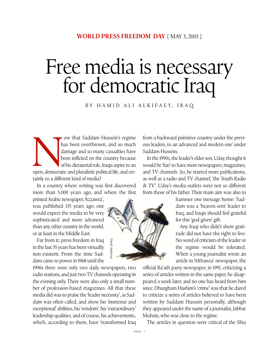# Free media is necessary for democratic Iraq

BY HAMID ALI ALKIFAEY, IRAQ

ow that Saddam Hussein's regime has been overthrown, and so much damage and so many casualties have been inflicted on the country because of his dictatorial rule, Iraqis aspire to an open, democratic and pluralistic political life, and certainly to a different kind of media?

In a country where writing was first discovered more than 5,000 years ago, and where the first

printed Arabic newspaper,'Azzawra', was published 135 years ago, one would expect the media to be very sophisticated and more advanced than any other country in the world, or at least in the Middle East.

Far from it; press freedom in Iraq in the last 35 years has been virtually non-existent. From the time Saddam came to power in 1968 until the

1990s there were only two daily newspapers, two radio stations, and just two TV channels operating in the evening only. There were also only a small number of profession-based magazines. All that these media did was to praise the 'leader necessity', as Saddam was often called, and show his 'immense and exceptional' abilities, his 'wisdom', his 'extraordinary' leadership qualities, and of course, his achievements, which, according to them, have 'transformed Iraq

from a backward primitive country under the previous leaders, to an advanced and modern one' under Saddam Hussein.

In the 1990s, the leader's elder son, Uday, thought it would be 'fun' to have more newspapers, magazines, and TV channels. So, he started more publications, as well as a radio and TV channel, 'the Youth Radio & TV'. Uday's media outlets were not so different from those of his father. Their main aim was also to

> hammer one message home: 'Saddam was a 'heaven-sent' leader to Iraq, and Iraqis should feel grateful for this 'god-given' gift.

Any Iraqi who didn't show gratitude did not have the right to live. No word of criticism of the leader or the regime would be tolerated. When a young journalist wrote an article in 'Althawra' newspaper, the

official Ba'ath party newspaper, in 1991, criticizing a series of articles written in the same paper, he disappeared a week later, and no one has heard from him since.Dhurgham Hashim's 'crime' was that he dared to criticize a series of articles believed to have been written by Saddam Hussein personally, although they appeared under the name of a journalist, Jabbar Muhsin, who was close to the regime.

The articles in question were critical of the Shia

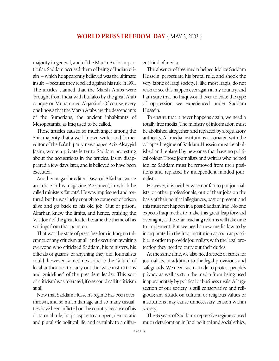majority in general, and of the Marsh Arabs in particular. Saddam accused them of being of Indian origin – which he apparently believed was the ultimate insult – because they rebelled against his rule in 1991. The articles claimed that the Marsh Arabs were 'brought from India with buffalos by the great Arab conqueror, Muhammed Alqassim'. Of course, every one knows that the Marsh Arabs are the descendants of the Sumerians, the ancient inhabitants of Mesopotamia, as Iraq used to be called.

Those articles caused so much anger among the Shia majority that a well-known writer and former editor of the Ba'ath party newspaper, Aziz Alsayyid Jasim, wrote a private letter to Saddam protesting about the accusations in the articles. Jasim disappeared a few days later, and is believed to have been executed.

Another magazine editor, Dawood Alfarhan, wrote an article in his magazine, 'Azzamen', in which he called ministers 'fat cats'.He was imprisoned and tortured, but he was lucky enough to come out of prison alive and go back to his old job. Out of prison, Alfarhan knew the limits, and hence, praising the 'wisdom' of the great leader became the theme of his writings from that point on.

That was the state of press freedom in Iraq; no tolerance of any criticism at all, and execution awaiting everyone who criticized Saddam, his ministers, his officials or guards, or anything they did. Journalists could, however, sometimes criticise the 'failure' of local authorities to carry out the 'wise instructions and guidelines' of the president leader. This sort of 'criticism' was tolerated, if one could call it criticism at all.

Now that Saddam Hussein's regime has been overthrown, and so much damage and so many casualties have been inflicted on the country because of his dictatorial rule, Iraqis aspire to an open, democratic and pluralistic political life, and certainly to a different kind of media.

The absence of free media helped idolize Saddam Hussein, perpetuate his brutal rule, and shook the very fabric of Iraqi society. I, like most Iraqis, do not wish to see this happen ever again in my country, and I am sure that no Iraqi would ever tolerate the type of oppression we experienced under Saddam Hussein.

To ensure that it never happens again, we need a totally free media. The ministry of information must be abolished altogether, and replaced by a regulatory authority. All media institutions associated with the collapsed regime of Saddam Hussein must be abolished and replaced by new ones that have no political colour. Those journalists and writers who helped idolize Saddam must be removed from their positions and replaced by independent-minded journalists.

However, it is neither wise nor fair to put journalists, or other professionals, out of their jobs on the basis of their political allegiances, past or present, and this must not happen in a post-Saddam Iraq.No one expects Iraqi media to make this great leap forward overnight, as these far-reaching reforms will take time to implement. But we need a new media law to be incorporated in the Iraqi institution as soon as possible, in order to provide journalists with the legal protection they need to carry out their duties.

At the same time, we also need a code of ethics for journalists, in addition to the legal provisions and safeguards. We need such a code to protect people's privacy as well as stop the media from being used inappropriately by political or business rivals.A large section of our society is still conservative and religious; any attack on cultural or religious values or institutions may cause unnecessary tension within society.

The 35 years of Saddam's repressive regime caused much deterioration in Iraqi political and social ethics,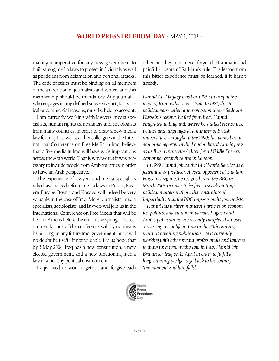making it imperative for any new government to built strong media laws to protect individuals as well as politicians from defamation and personal attacks. The code of ethics must be binding on all members of the association of journalists and writers and this membership should be mandatory. Any journalist who engages in any defined subversive act, for political or commercial reasons, must be held to account.

I am currently working with lawyers, media specialists, human rights campaigners and sociologists from many countries, in order to draw a new media law for Iraq. I, as well as other colleagues in the International Conference on Free Media in Iraq, believe that a free media in Iraq will have wide implications across the Arab world.That is why we felt it was necessary to include people from Arab countries in order to have an Arab perspective.

The experience of lawyers and media specialists who have helped reform media laws in Russia, Eastern Europe, Bosnia and Kosovo will indeed be very valuable in the case of Iraq. More journalists, media specialists, sociologists, and lawyers will join us in the International Conference on Free Media that will be held in Athens before the end of the spring. The recommendations of the conference will by no means be binding on any future Iraqi government, but it will no doubt be useful if not valuable. Let us hope that by 3 May 2004, Iraq has a new constitution, a new elected government, and a new functioning media law in a healthy political environment.

Iraqis need to work together, and forgive each

other, but they must never forget the traumatic and painful 35 years of Saddam's rule. The lesson from this bitter experience must be learned, if it hasn't already.

*Hamid Ali Alkifaey was born 1959 in Iraq in the town of Rumaytha, near Uruk. In 1981, due to political persecution and repression under Saddam Hussein's regime, he fled from Iraq. Hamid emigrated to England, where he studied economics, politics and languages at a number of British universities. Throughout the 1990s he worked as an economic reporter in the London based Arabic press, as well as a translator/editor for a Middle Eastern economic research centre in London.* 

*In 1999 Hamid joined the BBC World Service as a journalist & producer. A vocal opponent of Saddam Hussein's regime, he resigned from the BBC in March 2003 in order to be free to speak on Iraqi political matters without the constraints of impartiality that the BBC imposes on its journalists.* 

*Hamid has written numerous articles on economics, politics, and culture in various English and Arabic publications. He recently completed a novel discussing social life in Iraq in the 20th century, which is awaiting publication. He is currently working with other media professionals and lawyers to draw up a new media law in Iraq. Hamid left Britain for Iraq on 13 April in order to fulfill a long-standing pledge to go back to his country 'the moment Saddam falls'.*

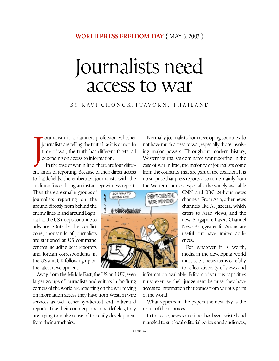# Journalists need access to war

## BY KAVI CHONGKITTAVORN, THAILAND

ournalism is a damned profession whether journalists are telling the truth like it is or not. In time of war, the truth has different facets, all depending on access to information.

In the case of war in Iraq, there are four different kinds of reporting. Because of their direct access to battlefields, the embedded journalists with the coalition forces bring an instant eyewitness report.

*Michel Cambon*

Michel Cambon

SO? WHAT'S

GOING ON?

EVERYTHING'S FINE,

WERE WINNING!

Then, there are smaller groups of journalists reporting on the ground directly from behind the enemy lines in and around Baghdad as the US troops continue to advance. Outside the conflict zone, thousands of journalists are stationed at US command centres including beat reporters and foreign correspondents in the US and UK following up on the latest development.

Away from the Middle East, the US and UK, even larger groups of journalists and editors in far-flung corners of the world are reporting on the war relying on information access they have from Western wire services as well other syndicated and individual reports. Like their counterparts in battlefields, they are trying to make sense of the daily development from their armchairs.

Normally, journalists from developing countries do not have much access to war, especially those involving major powers. Throughout modern history, Western journalists dominated war reporting. In the case of war in Iraq, the majority of journalists come from the countries that are part of the coalition. It is no surprise that press reports also come mainly from the Western sources, especially the widely available

> CNN and BBC 24-hour news channels.From Asia,other news channels like Al Jazeera, which caters to Arab views, and the new Singapore-based Channel News Asia, geared for Asians, are useful but have limited audiences.

> For whatever it is worth, media in the developing world must select news items carefully to reflect diversity of views and

information available. Editors of various capacities must exercise their judgement because they have access to information that comes from various parts of the world.

What appears in the papers the next day is the result of their choices.

In this case, news sometimes has been twisted and mangled to suit local editorial policies and audiences,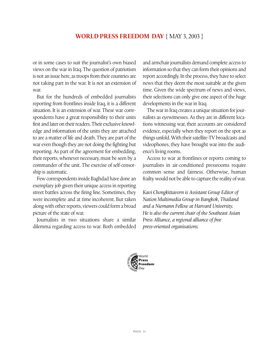or in some cases to suit the journalist's own biased views on the war in Iraq. The question of patriotism is not an issue here, as troops from their countries are not taking part in the war. It is not an extension of war.

But for the hundreds of embedded journalists reporting from frontlines inside Iraq, it is a different situation. It is an extension of war. These war correspondents have a great responsibility to their units first and later on their readers.Their exclusive knowledge and information of the units they are attached to are a matter of life and death. They are part of the war even though they are not doing the fighting but reporting. As part of the agreement for embedding, their reports, whenever necessary, must be seen by a commander of the unit. The exercise of self-censorship is automatic.

Few correspondents inside Baghdad have done an exemplary job given their unique access in reporting street battles across the firing line. Sometimes, they were incomplete and at time incoherent. But taken along with other reports, viewers could form a broad picture of the state of war.

Journalists in two situations share a similar dilemma regarding access to war. Both embedded and armchair journalists demand complete access to information so that they can form their opinions and report accordingly. In the process, they have to select news that they deem the most suitable at the given time. Given the wide spectrum of news and views, their selections can only give one aspect of the huge developments in the war in Iraq.

The war in Iraq creates a unique situation for journalists as eyewitnesses. As they are in different locations witnessing war, their accounts are considered evidence, especially when they report on the spot as things unfold.With their satellite-TV broadcasts and videophones, they have brought war into the audience's living rooms.

Access to war at frontlines or reports coming to journalists in air-conditioned pressrooms require common sense and fairness. Otherwise, human frailty would not be able to capture the reality of war.

*Kavi Chongkittavorn is Assistant Group Editor of Nation Multimedia Group in Bangkok, Thailand and a Niemann Fellow at Harvard University. He is also the current chair of the Southeast Asian Press Alliance, a regional alliance of free press-oriented organisations.* 

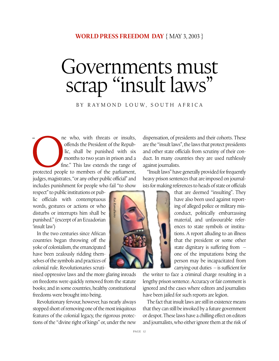# Governments must scrap "insult laws''

## BY RAYMOND LOUW, SOUTH AFRICA

ne who, with threats or insults, offends the President of the Republic, shall be punished with six months to two years in prison and a fine." This law extends the range of protected people to members of the parliament, judges, magistrates, "or any other public official" and includes punishment for people who fail "to show  $\alpha$ 

respect'' to public institutions or public officials with contemptuous words, gestures or actions or who disturbs or interrupts him shall be punished." (excerpt of an Ecuadorian 'insult law')

In the two centuries since African countries began throwing off the yoke of colonialism, the emancipated have been zealously ridding themselves of the symbols and practices of colonial rule. Revolutionaries scruti-

nised oppressive laws and the more glaring inroads on freedoms were quickly removed from the statute books; and in some countries, healthy constitutional freedoms were brought into being.

Revolutionary fervour, however, has nearly always stopped short of removing one of the most iniquitous features of the colonial legacy, the rigorous protections of the "divine right of kings'' or, under the new dispensation, of presidents and their cohorts. These are the "insult laws", the laws that protect presidents and other state officials from scrutiny of their conduct. In many countries they are used ruthlessly against journalists.

"Insult laws'' have generally provided for frequently heavy prison sentences that are imposed on journalists for making references to heads of state or officials

> that are deemed "insulting''. They have also been used against reporting of alleged police or military misconduct, politically embarrassing material, and unfavourable references to state symbols or institutions. A report alluding to an illness that the president or some other state dignitary is suffering from – one of the imputations being the person may be incapacitated from carrying out duties – is sufficient for

the writer to face a criminal charge resulting in a lengthy prison sentence.Accuracy or fair comment is ignored and the cases where editors and journalists have been jailed for such reports are legion.

The fact that insult laws are still in existence means that they can still be invoked by a future government or despot.These laws have a chilling effect on editors and journalists,who either ignore them at the risk of

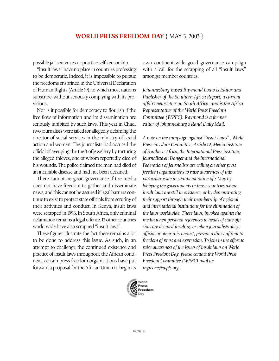possible jail sentences or practice self-censorship.

"Insult laws" have no place in countries professing to be democratic. Indeed, it is impossible to pursue the freedoms enshrined in the Universal Declaration of Human Rights (Article 19), to which most nations subscribe, without seriously complying with its provisions.

Nor is it possible for democracy to flourish if the free flow of information and its dissemination are seriously inhibited by such laws. This year in Chad, two journalists were jailed for allegedly defaming the director of social services in the ministry of social action and women. The journalists had accused the official of avenging the theft of jewellery by torturing the alleged thieves, one of whom reportedly died of his wounds. The police claimed the man had died of an incurable disease and had not been detained.

There cannot be good governance if the media does not have freedom to gather and disseminate news,and this cannot be assured if legal barriers continue to exist to protect state officials from scrutiny of their activities and conduct. In Kenya, insult laws were scrapped in 1996. In South Africa, only criminal defamation remains a legal offence.12 other countries world wide have also scrapped "insult laws".

These figures illustrate the fact there remains a lot to be done to address this issue. As such, in an attempt to challenge the continued existence and practice of insult laws throughout the African continent, certain press freedom organisations have put forward a proposal for the African Union to begin its

own continent-wide good governance campaign with a call for the scrapping of all "insult laws" amongst member countries.

*Johannesburg-based Raymond Louw is Editor and Publisher of the Southern Africa Report, a current affairs newsletter on South Africa, and is the Africa Representative of the World Press Freedom Committee (WPFC). Raymond is a former editor of Johannesburg's Rand Daily Mail.* 

*A note on the campaign against "Insult Laws" . World Press Freedom Committee, Article 19, Media Institute of Southern Africa, the International Press Institute, Journaliste en Danger and the International Federation of Journalists are calling on other press freedom organisations to raise awareness of this particular issue in commemoration of 3 May by lobbying the governments in those countries where insult laws are still in existence, or by demonstrating their support through their membership of regional and international institutions for the elimination of the laws worldwide. These laws, invoked against the media when personal references to heads of state officials are deemed insulting or when journalists allege official or other misconduct, present a direct affront to freedom of press and expression. To join in the effort to raise awareness of the issues of insult laws on World Press Freedom Day, please contact the World Press Freedom Committee (WPFC) mail to: mgreene@wpfc.org.*

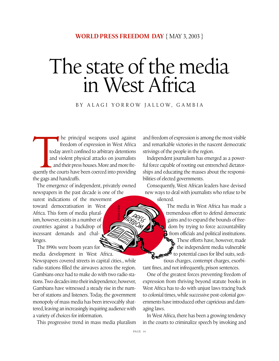# The state of the media in West Africa

## BY A L AG I YO R ROW JA L LOW, G A M B I A

he principal weapons used against freedom of expression in West Africa today aren't confined to arbitrary detentions and violent physical attacks on journalists and their press houses.More and more frequently the courts have been coerced into providing the gags and handcuffs.

The emergence of independent, privately owned newspapers in the past decade is one of the surest indications of the movement toward democratisation in West Africa. This form of media pluralism, however, exists in a number of countries against a backdrop of incessant demands and challenges. *Brian Gable*

The 1990s were boom years for media development in West Africa.

Newspapers covered streets in capital cities., while radio stations filled the airwaves across the region. Gambians once had to make do with two radio stations. Two decades into their independence, however, Gambians have witnessed a steady rise in the number of stations and listeners. Today, the government monopoly of mass media has been irrevocably shattered, leaving an increasingly inquiring audience with a variety of choices for information.

This progressive trend in mass media pluralism

and freedom of expression is among the most visible and remarkable victories in the nascent democratic strivings of the people in the region.

Independent journalism has emerged as a powerful force capable of rooting out entrenched dictatorships and educating the masses about the responsibilities of elected governments.

Consequently, West African leaders have devised new ways to deal with journalists who refuse to be silenced.

> The media in West Africa has made a tremendous effort to defend democratic gains and to expand the bounds of freedom by trying to force accountability **f** from officials and political institutions. These efforts have, however, made the independent media vulnerable to potential cases for libel suits, seditious charges, contempt charges, exorbi-

tant fines, and not infrequently, prison sentences. One of the greatest forces preventing freedom of

expression from thriving beyond statute books in West Africa has to do with unjust laws tracing back to colonial times, while successive post-colonial governments have introduced other capricious and damaging laws.

In West Africa, there has been a growing tendency in the courts to criminalize speech by invoking and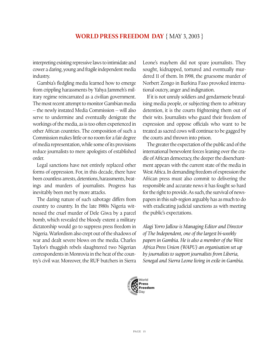interpreting existing repressive laws to intimidate and cower a daring,young and fragile independent media industry.

Gambia's fledgling media learned how to emerge from crippling harassments by Yahya Jammeh's military regime reincarnated as a civilian government. The most recent attempt to monitor Gambian media – the newly instated Media Commission – will also serve to undermine and eventually denigrate the workings of the media, as is too often experienced in other African countries. The composition of such a Commission makes little or no room for a fair degree of media representation,while some of its provisions reduce journalists to mere apologists of established order.

Legal sanctions have not entirely replaced other forms of oppression. For, in this decade, there have been countless arrests, detentions, harassments, beatings and murders of journalists. Progress has inevitably been met by more attacks.

The daring nature of such sabotage differs from country to country. In the late 1980s Nigeria witnessed the cruel murder of Dele Giwa by a parcel bomb, which revealed the bloody extent a military dictatorship would go to suppress press freedom in Nigeria.Warlordism also crept out of the shadows of war and dealt severe blows on the media. Charles Taylor's thuggish rebels slaughtered two Nigerian correspondents in Monrovia in the heat of the country's civil war. Moreover, the RUF butchers in Sierra

Leone's mayhem did not spare journalists. They sought, kidnapped, tortured and eventually murdered 11 of them. In 1998, the gruesome murder of Norbert Zongo in Burkina Faso provoked international outcry, anger and indignation.

If it is not unruly soldiers and gendarmerie brutalising media people, or subjecting them to arbitrary detention, it is the courts frightening them out of their wits. Journalists who guard their freedom of expression and oppose officials who want to be treated as sacred cows will continue to be gagged by the courts and thrown into prison.

The greater the expectation of the public and of the international benevolent forces leaning over the cradle of African democracy, the deeper the disenchantment appears with the current state of the media in West Africa.In demanding freedom of expression the African press must also commit to delivering the responsible and accurate news it has fought so hard for the right to provide. As such, the survival of newspapers in this sub-region arguably has as much to do with eradicating judicial sanctions as with meeting the public's expectations.

*Alagi Yorro Jallow is Managing Editor and Director of The Independent, one of the largest bi-weekly papers in Gambia. He is also a member of the West Africa Press Union (WAPU) an organisation set up by journalists to support journalists from Liberia, Senegal and Sierra Leone living in exile in Gambia.* 

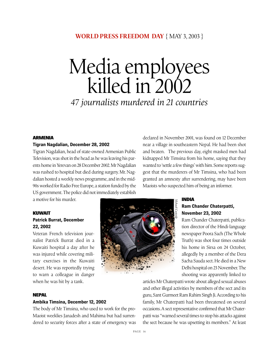# Media employees killed in 2002 *47 journalists murdered in 21 countries*

### ARMENIA

#### **Tigran Nagdalian, December 28, 2002**

Tigran Nagdalian, head of state-owned Armenian Public Television,was shot in the head as he was leaving his parents home in Yerevan on 28 December 2002.Mr Nagdalian was rushed to hospital but died during surgery. Mr. Nagdalian hosted a weekly news programme, and in the mid-90s worked for Radio Free Europe, a station funded by the US government.The police did not immediately establish

a motive for his murder.

## KUWAIT **Patrick Burrat, December 22, 2002**

Veteran French television journalist Patrick Burrat died in a Kuwaiti hospital a day after he was injured while covering military exercises in the Kuwaiti desert. He was reportedly trying to warn a colleague in danger when he was hit by a tank.

#### NEPAL

#### **Ambika Timsina, December 12, 2002**

The body of Mr Timsina, who used to work for the pro-Maoist weeklies Janadesh and Mahima but had surrendered to security forces after a state of emergency was declared in November 2001, was found on 12 December near a village in southeastern Nepal. He had been shot and beaten. The previous day, eight masked men had kidnapped Mr Timsina from his home, saying that they wanted to 'settle a few things' with him. Some reports suggest that the murderers of Mr Timsina, who had been granted an amnesty after surrendering, may have been Maoists who suspected him of being an informer.

#### INDIA

*Mchael Custode*

## **Ram Chander Chaterpatti, November 23, 2002**

Ram Chander Chaterpatti, publication director of the Hindi-language newspaper Poora Sach (The Whole Truth) was shot four times outside his home in Sirsa on 24 October, allegedly by a member of the Dera Sacha Sauda sect.He died in a New Delhi hospital on 23 November.The shooting was apparently linked to

articles Mr Chaterpatti wrote about alleged sexual abuses and other illegal activities by members of the sect and its guru,Sant Gurmeet Ram Rahim Singh Ji.According to his family, Mr Chaterpatti had been threatened on several occasions.A sect representative confirmed that Mr Chaterpatti was "warned several times to stop his attacks against the sect because he was upsetting its members." At least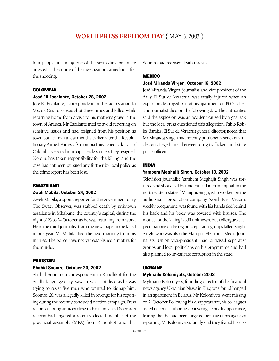four people, including one of the sect's directors, were arrested in the course of the investigation carried out after the shooting.

#### **COLOMBIA**

#### **José Eli Escalante, October 28, 2002**

José Eli Escalante, a corespondent for the radio station La Voz de Cinaruco, was shot three times and killed while returning home from a visit to his mother's grave in the town of Arauca. Mr Escalante tried to avoid reporting on sensitive issues and had resigned from his position as town councilman a few months earlier, after the Revolutionary Armed Forces of Colombia threatened to kill all of Colombia's elected municipal leaders unless they resigned. No one has taken responsibility for the killing, and the case has not been pursued any further by local police as the crime report has been lost.

#### SWAZILAND

#### **Zweli Mabila, October 24, 2002**

Zweli Mabila, a sports reporter for the government daily The Swazi Observer, was stabbed death by unknown assailants in Mbabane, the country's capital, during the night of 23 to 24 October, as he was returning from work. He is the third journalist from the newspaper to be killed in one year. Mr Mabila died the next morning from his injuries. The police have not yet established a motive for the murder.

#### PAKISTAN

#### **Shahid Soomro, October 20, 2002**

Shahid Soomro, a correspondent in Kandhkot for the Sindhi-language daily Kawish, was shot dead as he was trying to resist five men who wanted to kidnap him. Soomro, 26, was allegedly killed in revenge for his reporting during the recently concluded election campaign. Press reports quoting sources close to his family said Soomro's reports had angered a recently elected member of the provincial assembly (MPA) from Kandhkot, and that Soomro had received death threats.

#### **MEXICO**

#### **José Miranda Virgen, October 16, 2002**

José Miranda Virgen, journalist and vice-president of the daily El Sur de Veracruz, was fatally injured when an explosion destroyed part of his apartment on 15 October. The journalist died on the following day. The authorities said the explosion was an accident caused by a gas leak but the local press questioned this allegation. Pablo Robles Barajas, El Sur de Veracruz general director, noted that Mr Miranda Virgen had recently published a series of articles on alleged links between drug traffickers and state police officers.

## INDIA

#### **Yambem Meghajit Singh, October 13, 2002**

Television journalist Yambem Meghajit Singh was tortured and shot dead by unidentified men in Imphal, in the north-eastern state of Manipur.Singh,who worked on the audio-visual production company North East Vision's weekly programme, was found with his hands tied behind his back and his body was covered with bruises. The motive for the killing is still unknown, but colleagues suspect that one of the region's separatist groups killed Singh. Singh, who was also the Manipur Electronic Media Journalists' Union vice-president, had criticised separatist groups and local politicians on his programme and had also planned to investigate corruption in the state.

#### UKRAINE

#### **Mykhailo Kolomiyets, October 2002**

Mykhailo Kolomiyets, founding director of the financial news agency Ukrainian News in Kiev, was found hanged in an apartment in Belarus. Mr Kolomiyets went missing on 21 October. Following his disappearance, his colleagues asked national authorities to investigate his disappearance, fearing that he had been targeted because of his agency's reporting.Mr Kolomiyets's family said they feared his dis-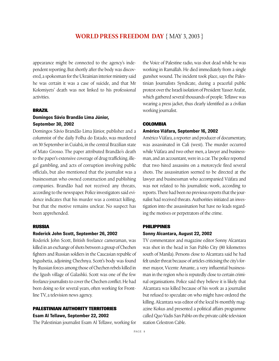appearance might be connected to the agency's independent reporting. But shortly after the body was discovered, a spokesman for the Ukrainian interior ministry said he was certain it was a case of suicide, and that Mr Kolomiyets' death was not linked to his professional activities.

#### BRAZIL

# **Domingos Sávio Brandão Lima Júnior, September 30, 2002**

Domingos Sávio Brandão Lima Júnior, publisher and a columnist of the daily Folha do Estado, was murdered on 30 September in Cuiabá, in the central Brazilian state of Mato Grosso. The paper attributed Brandão's death to the paper's extensive coverage of drug trafficking, illegal gambling, and acts of corruption involving public officials, but also mentioned that the journalist was a businessman who owned construction and publishing companies. Brandão had not received any threats, according to the newspaper. Police investigators said evidence indicates that his murder was a contract killing, but that the motive remains unclear. No suspect has been apprehended.

#### RUSSIA

#### **Roderick John Scott, September 26, 2002**

Roderick John Scott, British freelance cameraman, was killed in an exchange of shots between a group of Chechen fighters and Russian soldiers in the Caucasian republic of Ingushetia, adjoining Chechnya. Scott's body was found by Russian forces among those of Chechen rebels killed in the Igush village of Galashki. Scott was one of the few freelance journalists to cover the Chechen conflict.He had been doing so for several years, often working for Frontline TV, a television news agency.

## PALESTINIAN AUTHORITY TERRITORIES **Esam Al Tellawe, September 22, 2002**

The Palestinian journalist Esam Al Tellawe, working for

the Voice of Palestine radio, was shot dead while he was working in Ramallah. He died immediately from a single gunshot wound. The incident took place, says the Palestinian Journalists Syndicate, during a peaceful public protest over the Israeli isolation of President Yasser Arafat, which gathered several thousands of people. Tellawe was wearing a press jacket, thus clearly identified as a civilian working journalist.

#### COLOMBIA

#### **Américo Viáfara, September 16, 2002**

Américo Viáfara, a reporter and producer of documentary, was assassinated in Cali (west). The murder occurred while Viáfara and two other men, a lawyer and businessman, and an accountant, were in a car. The police reported that two hired assassins on a motorcycle fired several shots. The assassination seemed to be directed at the lawyer and businessman who accompanied Viáfara and was not related to his journalistic work, according to reports.There had been no previous reports that the journalist had received threats. Authorities initiated an investigation into the assassination but have no leads regarding the motives or perpetrators of the crime.

#### PHILIPPINES

#### **Sonny Alcantara, August 22, 2002**

TV commentator and magazine editor Sonny Alcantara was shot in the head in San Pablo City (80 kilometres south of Manila). Persons close to Alcantara said he had felt under threat because of articles criticising the city's former mayor, Vicente Amante, a very influential businessman in the region who is reputedly close to certain criminal organisations. Police said they believe it is likely that Alcantara was killed because of his work as a journalist but refused to speculate on who might have ordered the killing. Alcantara was editor of the local bi-monthly magazine Kokus and presented a political affairs programme called Quo Vadis San Pablo on the private cable television station Celestron Cable.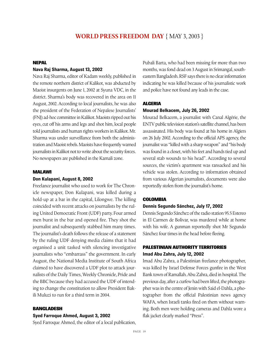## NEPAL

#### **Nava Raj Sharma, August 13, 2002**

Nava Raj Sharma, editor of Kadam weekly, published in the remote northern district of Kalikot, was abducted by Maoist insurgents on June 1, 2002 at Syuna VDC, in the district. Sharma's body was recovered in the area on 11 August, 2002. According to local journalists, he was also the president of the Federation of Nepalese Journalists' (FNJ) ad-hoc committee in Kalikot.Maoists ripped out his eyes, cut off his arms and legs and shot him, local people told journalists and human rights workers in Kalikot. Mr. Sharma was under surveillance from both the administration and Maoist rebels.Maoists have frequently warned journalists in Kalikot not to write about the security forces. No newspapers are published in the Karnali zone.

#### MALAWI

### **Don Kulapani, August 8, 2002**

Freelance journalist who used to work for The Chronicle newspaper, Don Kulapani, was killed during a hold-up at a bar in the capital, Lilongwe. The killing coincided with recent attacks on journalists by the ruling United Democratic Front (UDF) party. Four armed men burst in the bar and opened fire. They shot the journalist and subsequently stabbed him many times. The journalist's death follows the release of a statement by the ruling UDF denying media claims that it had organised a unit tasked with silencing investigative journalists who "embarrass" the government. In early August, the National Media Institute of South Africa claimed to have discovered a UDF plot to attack journalists of the Daily Times, Weekly Chronicle, Pride and the BBC because they had accused the UDF of intending to change the constitution to allow President Bakili Muluzi to run for a third term in 2004.

## BANGLADESH

#### **Syed Farroque Ahmed, August 3, 2002**

Syed Farroque Ahmed, the editor of a local publication,

Pubali Barta, who had been missing for more than two months, was fond dead on 3 August in Srimangal, southeastern Bangladesh.RSF says there is no clear information indicating he was killed because of his journalistic work and police have not found any leads in the case.

#### ALGERIA

#### **Mourad Belkacem, July 26, 2002**

Mourad Belkacem, a journalist with Canal Algérie, the ENTV public television station's satellite channel, has been assassinated. His body was found at his home in Algiers on 26 July 2002. According to the official APS agency, the journalist was "killed with a sharp weapon" and "his body was found in a closet, with his feet and hands tied up and several stab wounds to his head". According to several sources, the victim's apartment was ransacked and his vehicle was stolen. According to information obtained from various Algerian journalists, documents were also reportedly stolen from the journalist's home.

#### COLOMBIA

#### **Dennis Segundo Sánchez, July 17, 2002**

Dennis Segundo Sánchez of the radio station 95.5 Estereo in El Carmen de Bolivar, was murdered while at home with his wife. A gunman reportedly shot Mr Segundo Sánchez four times in the head before fleeing.

## PALESTINIAN AUTHORITY TERRITORIES **Imad Abu Zahra, July 12, 2002**

Imad Abu Zahra, a Palestinian freelance photographer, was killed by Israel Defense Forces gunfire in the West Bank town of Ramallah. Abu Zahra, died in hospital. The previous day, after a curfew had been lifted, the photographer was in the centre of Jenin with Said el-Dahla, a photographer from the official Palestinian news agency WAFA, when Israeli tanks fired on them without warning. Both men were holding cameras and Dahla wore a flak jacket clearly marked "Press".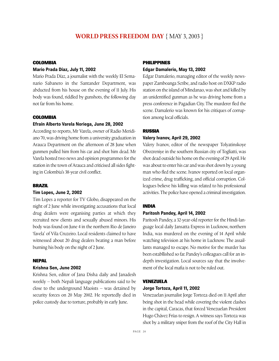### **COLOMBIA**

#### **Mario Prada Díaz, July 11, 2002**

Mario Prada Díaz, a journalist with the weekly El Semanario Sabanero in the Santander Department, was abducted from his house on the evening of 11 July. His body was found, riddled by gunshots, the following day not far from his home.

#### COLOMBIA

#### **Efraín Alberto Varela Noriega, June 28, 2002**

According to reports, Mr Varela, owner of Radio Meridiano 70,was driving home from a university graduation in Arauca Department on the afternoon of 28 June when gunmen pulled him from his car and shot him dead. Mr Varela hosted two news and opinion programmes for the station in the town of Arauca and criticised all sides fighting in Colombia's 38-year civil conflict.

#### BRAZIL

#### **Tim Lopes, June 2, 2002**

Tim Lopes a reporter for TV Globo, disappeared on the night of 2 June while investigating accusations that local drug dealers were organising parties at which they recruited new clients and sexually abused minors. His body was found on June 4 in the northern Rio de Janeiro 'favela' of Vila Cruzeiro. Local residents claimed to have witnessed about 20 drug dealers beating a man before burning his body on the night of 2 June.

#### NEPAL

#### **Krishna Sen, June 2002**

Krishna Sen, editor of Jana Disha daily and Janadesh weekly – both Nepali language publications said to be close to the underground Maoists – was detained by security forces on 20 May 2002. He reportedly died in police custody due to torture, probably in early June.

#### PHILIPPINES

#### **Edgar Damalerio, May 13, 2002**

Edgar Damalerio, managing editor of the weekly newspaper Zamboanga Scribe, and radio host on DXKP radio station on the island of Mindanao, was shot and killed by an unidentified gunman as he was driving home from a press conference in Pagadian City. The murderer fled the scene. Damalerio was known for his critiques of corruption among local officials.

#### RUSSIA

#### **Valery Ivanov, April 29, 2002**

Valery Ivanov, editor of the newspaper Tolyatinskoye Obozreniye in the southern Russian city of Togliatti, was shot dead outside his home on the evening of 29 April.He was about to enter his car and was shot down by a young man who fled the scene. Ivanov reported on local organized crime, drug trafficking, and official corruption. Colleagues believe his killing was related to his professional activities.The police have opened a criminal investigation.

## INDIA

#### **Paritosh Pandey, April 14, 2002**

Paritosh Pandey, a 32-year-old reporter for the Hindi-language local daily Jansatta Express in Lucknow, northern India, was murdered on the evening of 14 April while watching television at his home in Lucknow. The assaillants managed to escape. No motive for the murder has been establlished so far. Pandey's colleagues call for an indepth investigation. Local sources say that the involvement of the local mafia is not to be ruled out.

#### VENEZUELA

## **Jorge Tortoza, April 11, 2002**

Venezuelan journalist Jorge Tortoza died on 11 April after being shot in the head while covering the violent clashes in the capital, Caracas, that forced Venezuelan President Hugo Chávez Frías to resign. A witness says Tortoza was shot by a military sniper from the roof of the City Hall in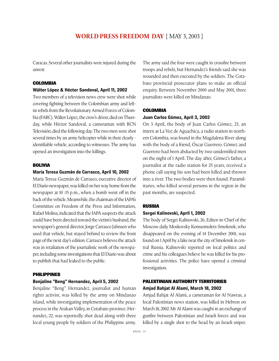Caracas. Several other journalists were injured during the unrest.

#### **COLOMBIA**

## **Wálter López & Héctor Sandoval, April 11, 2002**

Two members of a television news crew were shot while covering fighting between the Colombian army and leftist rebels from the Revolutionary Armed Forces of Colombia (FARC). Wálter López, the crew's driver, died on Thursday, while Héctor Sandoval, a cameraman with RCN Televisión, died the following day. The two men were shot several times by an army helicopter while in their clearly identifiable vehicle, according to witnesses. The army has opened an investigation into the killings.

### BOLIVIA

#### **María Teresa Guzmán de Carrasco, April 10, 2002**

María Teresa Guzmán de Carrasco, executive director of El Diario newspaper,was killed on her way home from the newspaper at 10 :15 p.m., when a bomb went off in the back of the vehicle. Meanwhile, the chairman of the IAPA's Committee on Freedom of the Press and Information, Rafael Molina, indicated that the IAPA suspects the attack could have been directed toward the victim's husband,the newspaper's general director, Jorge Carrasco Jahnsen who used that vehicle, but stayed behind to review the front page of the next day's edition.Carrasco believes the attack was in retaliation of the journalistic work of the newspaper, including some investigations that El Diario was about to publish that had leaked to the public.

#### PHILIPPINES

## **Benjaline "Beng" Hernandez, April 5, 2002**

Benjaline "Beng" Hernandez, journalist and human rights activist, was killed by the army on Mindanao island, while investigating implementation of the peace process in the Arakan Valley, in Cotabato province. Hernandez, 22, was reportedly shot dead along with three local young people by soldiers of the Philippine army. The army said the four were caught in crossfire between troops and rebels, but Hernandez's friends said she was wounded and then executed by the soldiers. The Cotabato provincial prosecutor plans to make an official enquiry. Between November 2000 and May 2001, three journalists were killed on Mindanao.

#### **COLOMBIA**

#### **Juan Carlos Gómez, April 3, 2002**

On 3 April, the body of Juan Carlos Gómez, 23, an intern at La Voz de Aguachica, a radio station in northern Colombia, was found in the Magdalena River along with the body of a friend, Óscar Guerrero. Gómez and Guerrero had been abducted by two unidentified men on the night of 1 April. The day after, Gómez's father, a journalist at the radio station for 25 years, received a phone call saying his son had been killed and thrown into a river. The two bodies were then found. Paramilitaries, who killed several persons in the region in the past months, are suspected.

#### RUSSIA

#### **Sergei Kalinovski, April 1, 2002**

The body of Sergei Kalinovski, 26, Editor-in-Chief of the Moscow daily Moskovsky Komsomolets-Smolensk,who disappeared on the evening of 14 December 2001, was found on 1 April by a lake near the city of Smolensk in central Russia. Kalinovski reported on local politics and crime and his colleagues believe he was killed for his professional activities. The police have opened a criminal investigation.

## PALESTINIAN AUTHORITY TERRITORIES **Amjad Bahjat Al Alami, March 18, 2002**

Amjad Bahjat Al Alami, a cameraman for Al Nawras, a local Palestinian news station, was killed in Hebron on March 18,2002.Mr Al Alami was caught in an exchange of gunfire between Palestinian and Israeli forces and was killed by a single shot to the head by an Israeli sniper.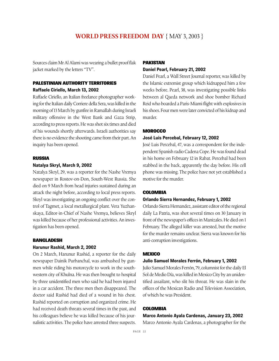Sources claim Mr Al Alami was wearing a bullet proof flak jacket marked by the letters "TV".

## PALESTINIAN AUTHORITY TERRITORIES **Raffaele Ciriello, March 13, 2002**

Raffaele Ciriello, an Italian freelance photographer working for the Italian daily Corriere della Sera, was killed in the morning of 13 March by gunfire in Ramallah during Israeli military offensive in the West Bank and Gaza Strip, according to press reports.He was shot six times and died of his wounds shortly afterwards. Israeli authorities say there is no evidence the shooting came from their part.An inquiry has been opened.

#### RUSSIA

## **Natalya Skryl, March 9, 2002**

Natalya Skryl, 29, was a reporter for the Nashe Vremya newspaper in Rostov-on-Don, South-West Russia. She died on 9 March from head injuries sustained during an attack the night before, according to local press reports. Skryl was investigating an ongoing conflict over the control of Tagmet, a local metallurgical plant. Vera Yuzhanskaya, Editor-in-Chief of Nashe Vremya, believes Skryl was killed because of her professional activities. An investigation has been opened.

## BANGLADESH

#### **Harunur Rashid, March 2, 2002**

On 2 March, Harunur Rashid, a reporter for the daily newspaper Dainik Purbanchal, was ambushed by gunmen while riding his motorcycle to work in the southwestern city of Khulna. He was then brought to hospital by three unidentified men who said he had been injured in a car accident. The three men then disappeared. The doctor said Rashid had died of a wound in his chest. Rashid reported on corruption and organized crime. He had received death threats several times in the past, and his colleagues believe he was killed because of his journalistic activities. The police have arrested three suspects.

#### PAKISTAN

### **Daniel Pearl, February 21, 2002**

Daniel Pearl, a Wall Street Journal reporter, was killed by the Islamic extremist group which kidnapped him a few weeks before. Pearl, 38, was investigating possible links between al Qaeda network and shoe bomber Richard Reid who boarded a Paris-Miami flight with explosives in his shoes.Four men were later convicted of his kidnap and murder.

#### **MOROCCO**

## **José Luis Percebal, February 12, 2002**

José Luis Percebal, 47, was a correspondent for the independent Spanish radio Cadena Cope.He was found dead in his home on February 12 in Rabat. Percebal had been stabbed in the back, apparently the day before. His cell phone was missing. The police have not yet established a motive for the murder.

#### COLOMBIA

#### **Orlando Sierra Hernandez, February 1, 2002**

Orlando Sierra Hernandez, assistant editor of the regional daily La Patria, was shot several times on 30 January in front of the newspaper's offices in Manizales.He died on 1 February. The alleged killer was arrested, but the motive for the murder remains unclear. Sierra was known for his anti-corruption investigations.

#### **MEXICO**

#### **Julio Samuel Morales Ferrón, February 1, 2002**

Julio Samuel Morales Ferrón,79,columnist for the daily El Sol de Medio Día,was killed in Mexico City by an unidentified assailant, who slit his throat. He was slain in the offices of the Mexican Radio and Television Association, of which he was President.

### **COLOMBIA**

## **Marco Antonio Ayala Cardenas, January 23, 2002**

Marco Antonio Ayala Cardenas, a photographer for the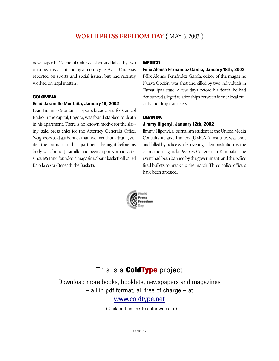newspaper El Caleno of Cali, was shot and killed by two unknown assailants riding a motorcycle. Ayala Cardenas reported on sports and social issues, but had recently worked on legal matters.

#### COLOMBIA

#### **Esaú Jaramillo Montaña, January 19, 2002**

Esaú Jaramillo Montaña, a sports broadcaster for Caracol Radio in the capital, Bogotá, was found stabbed to death in his apartment. There is no known motive for the slaying, said press chief for the Attorney General's Office. Neighbors told authorities that two men, both drunk, visited the journalist in his apartment the night before his body was found. Jaramillo had been a sports broadcaster since 1964 and founded a magazine about basketball called Bajo la cesta (Beneath the Basket).

## **MEXICO**

## **Félix Alonso Fernández García, January 18th, 2002**

Félix Alonso Fernández García, editor of the magazine Nueva Opción, was shot and killed by two individuals in Tamaulipas state. A few days before his death, he had denounced alleged relationships between former local officials and drug traffickers.

#### UGANDA

#### **Jimmy Higenyi, January 12th, 2002**

Jimmy Higenyi,a journalism student at the United Media Consultants and Trainers (UMCAT) Institute, was shot and killed by police while covering a demonstration by the opposition Uganda Peoples Congress in Kampala. The event had been banned by the government, and the police fired bullets to break up the march. Three police officers have been arrested.



# This is a **ColdType** project

Download more books, booklets, newspapers and magazines – all in pdf format, all free of charge – at [www.coldtype.net](http://www.coldtype.net)

(Click on this link to enter web site)